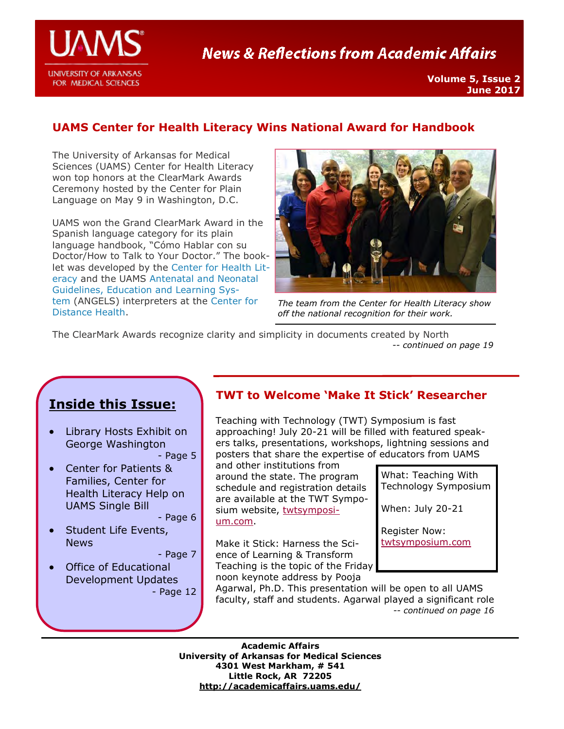

# **News & Reflections from Academic Affairs**

# **UAMS Center for Health Literacy Wins National Award for Handbook**

The University of Arkansas for Medical Sciences (UAMS) Center for Health Literacy won top honors at the ClearMark Awards Ceremony hosted by the Center for Plain Language on May 9 in Washington, D.C.

UAMS won the Grand ClearMark Award in the Spanish language category for its plain language handbook, "Cómo Hablar con su Doctor/How to Talk to Your Doctor." The booklet was developed by the [Center for Health Lit](http://healthliteracy.uams.edu/)[eracy a](http://healthliteracy.uams.edu/)nd the UAMS [Antenatal and Neonatal](http://angels.uams.edu/)  [Guidelines, Education and Learning Sys](http://angels.uams.edu/)[tem \(](http://angels.uams.edu/)ANGELS) interpreters at the [Center for](http://cdh.uams.edu/)  [Distance Health.](http://cdh.uams.edu/) 



*The team from the Center for Health Literacy show off the national recognition for their work.* 

The ClearMark Awards recognize clarity and simplicity in documents created by North *-- continued on page 19*

# **Inside this Issue:**

 Library Hosts Exhibit on George Washington

- Page 5

 Center for Patients & Families, Center for Health Literacy Help on UAMS Single Bill

- Page 6

• Student Life Events, News

- Page 7

 Office of Educational Development Updates - Page 12

### **TWT to Welcome 'Make It Stick' Researcher**

Teaching with Technology (TWT) Symposium is fast approaching! July 20-21 will be filled with featured speakers talks, presentations, workshops, lightning sessions and posters that share the expertise of educators from UAMS

and other institutions from around the state. The program schedule and registration details are available at the TWT Symposium website, [twtsymposi](http://twtsymposium.com)[um.com.](http://twtsymposium.com) 

Make it Stick: Harness the Science of Learning & Transform Teaching is the topic of the Friday noon keynote address by Pooja

| What: Teaching With<br>Technology Symposium |
|---------------------------------------------|
| When: July 20-21                            |
| <b>Register Now:</b><br>twtsymposium.com    |

Agarwal, Ph.D. This presentation will be open to all UAMS faculty, staff and students. Agarwal played a significant role *-- continued on page 16*

**Academic Affairs University of Arkansas for Medical Sciences 4301 West Markham, # 541 Little Rock, AR 72205 <http://academicaffairs.uams.edu/>**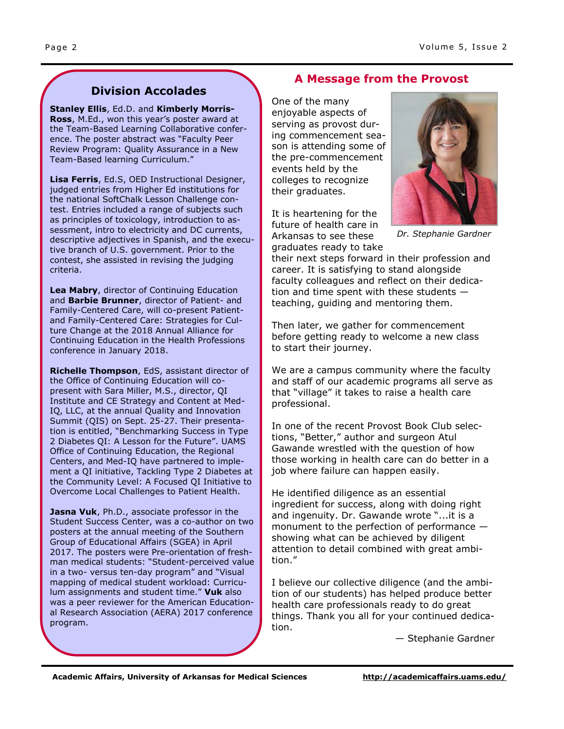# **Division Accolades**

**Stanley Ellis**, Ed.D. and **Kimberly Morris-Ross**, M.Ed., won this year's poster award at the Team-Based Learning Collaborative conference. The poster abstract was "Faculty Peer Review Program: Quality Assurance in a New Team-Based learning Curriculum."

**Lisa Ferris**, Ed.S, OED Instructional Designer, judged entries from Higher Ed institutions for the national SoftChalk Lesson Challenge contest. Entries included a range of subjects such as principles of toxicology, introduction to assessment, intro to electricity and DC currents, descriptive adjectives in Spanish, and the executive branch of U.S. government. Prior to the contest, she assisted in revising the judging criteria.

**Lea Mabry**, director of Continuing Education and **Barbie Brunner**, director of Patient- and Family-Centered Care, will co-present Patientand Family-Centered Care: Strategies for Culture Change at the 2018 Annual Alliance for Continuing Education in the Health Professions conference in January 2018.

**Richelle Thompson**, EdS, assistant director of the Office of Continuing Education will copresent with Sara Miller, M.S., director, QI Institute and CE Strategy and Content at Med-IQ, LLC, at the annual Quality and Innovation Summit (QIS) on Sept. 25-27. Their presentation is entitled, "Benchmarking Success in Type 2 Diabetes QI: A Lesson for the Future". UAMS Office of Continuing Education, the Regional Centers, and Med-IQ have partnered to implement a QI initiative, Tackling Type 2 Diabetes at the Community Level: A Focused QI Initiative to Overcome Local Challenges to Patient Health.

**Jasna Vuk**, Ph.D., associate professor in the Student Success Center, was a co-author on two posters at the annual meeting of the Southern Group of Educational Affairs (SGEA) in April 2017. The posters were Pre-orientation of freshman medical students: "Student-perceived value in a two- versus ten-day program" and "Visual mapping of medical student workload: Curriculum assignments and student time." **Vuk** also was a peer reviewer for the American Educational Research Association (AERA) 2017 conference program.

## **A Message from the Provost**

One of the many enjoyable aspects of serving as provost during commencement season is attending some of the pre-commencement events held by the colleges to recognize their graduates.

It is heartening for the future of health care in Arkansas to see these



*Dr. Stephanie Gardner* 

graduates ready to take their next steps forward in their profession and career. It is satisfying to stand alongside faculty colleagues and reflect on their dedication and time spent with these students teaching, guiding and mentoring them.

Then later, we gather for commencement before getting ready to welcome a new class to start their journey.

We are a campus community where the faculty and staff of our academic programs all serve as that "village" it takes to raise a health care professional.

In one of the recent Provost Book Club selections, "Better," author and surgeon Atul Gawande wrestled with the question of how those working in health care can do better in a job where failure can happen easily.

He identified diligence as an essential ingredient for success, along with doing right and ingenuity. Dr. Gawande wrote "...it is a monument to the perfection of performance showing what can be achieved by diligent attention to detail combined with great ambition."

I believe our collective diligence (and the ambition of our students) has helped produce better health care professionals ready to do great things. Thank you all for your continued dedication.

— Stephanie Gardner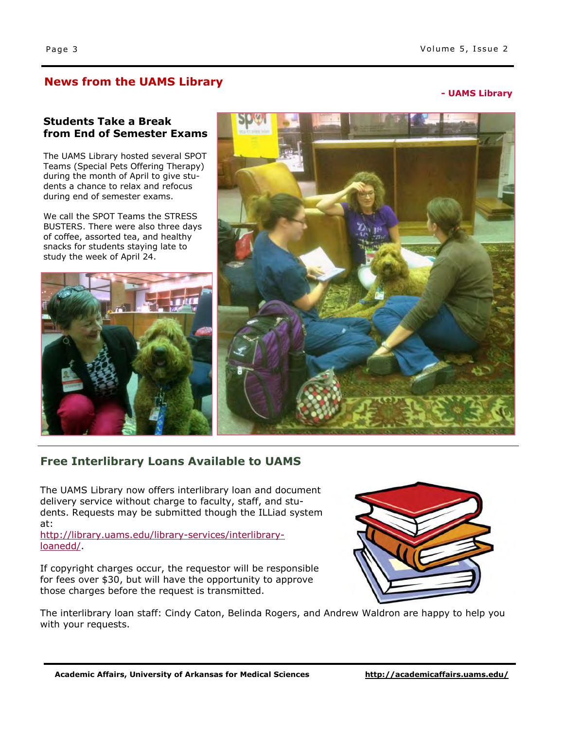### **News from the UAMS Library**

**- UAMS Library**

#### **Students Take a Break from End of Semester Exams**

The UAMS Library hosted several SPOT Teams (Special Pets Offering Therapy) during the month of April to give students a chance to relax and refocus during end of semester exams.

We call the SPOT Teams the STRESS BUSTERS. There were also three days of coffee, assorted tea, and healthy snacks for students staying late to study the week of April 24.





# **Free Interlibrary Loans Available to UAMS**

The UAMS Library now offers interlibrary loan and document delivery service without charge to faculty, staff, and students. Requests may be submitted though the ILLiad system at:

[http://library.uams.edu/library-services/interlibrary](http://library.uams.edu/library-services/interlibrary-loanedd/)[loanedd/.](http://library.uams.edu/library-services/interlibrary-loanedd/)

If copyright charges occur, the requestor will be responsible for fees over \$30, but will have the opportunity to approve those charges before the request is transmitted.



The interlibrary loan staff: Cindy Caton, Belinda Rogers, and Andrew Waldron are happy to help you with your requests.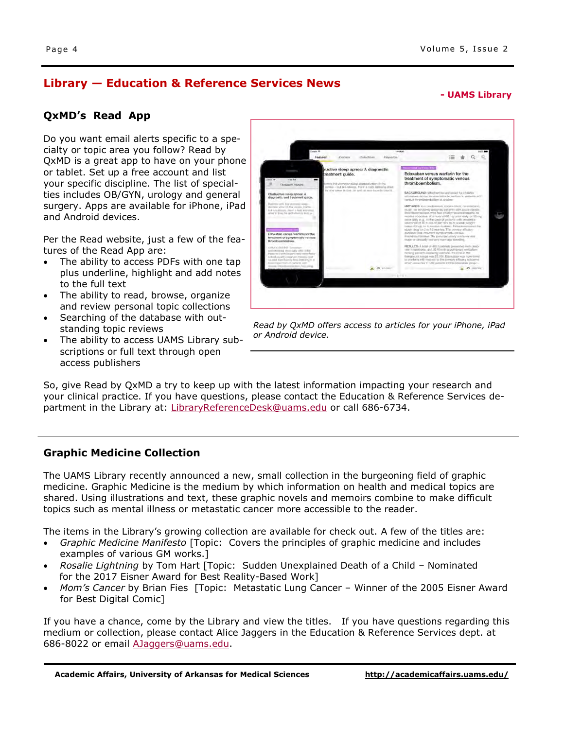# **Library — Education & Reference Services News**

**- UAMS Library**

#### **QxMD's Read App**

Do you want email alerts specific to a specialty or topic area you follow? Read by QxMD is a great app to have on your phone or tablet. Set up a free account and list your specific discipline. The list of specialties includes OB/GYN, urology and general surgery. Apps are available for iPhone, iPad and Android devices.

Per the Read website, just a few of the features of the Read App are:

- The ability to access PDFs with one tap plus underline, highlight and add notes to the full text
- The ability to read, browse, organize and review personal topic collections
- Searching of the database with outstanding topic reviews
- The ability to access UAMS Library subscriptions or full text through open access publishers

Edoxaban versus warfarin for the eatment of symp

*Read by QxMD offers access to articles for your iPhone, iPad or Android device.* 

So, give Read by QxMD a try to keep up with the latest information impacting your research and your clinical practice. If you have questions, please contact the Education & Reference Services de-partment in the Library at: [LibraryReferenceDesk@uams.edu o](mailto:LibraryReferenceDesk@uams.edu)r call 686-6734.

#### **Graphic Medicine Collection**

The UAMS Library recently announced a new, small collection in the burgeoning field of graphic medicine. Graphic Medicine is the medium by which information on health and medical topics are shared. Using illustrations and text, these graphic novels and memoirs combine to make difficult topics such as mental illness or metastatic cancer more accessible to the reader.

The items in the Library's growing collection are available for check out. A few of the titles are:

- *Graphic Medicine Manifesto* [Topic: Covers the principles of graphic medicine and includes examples of various GM works.]
- *Rosalie Lightning* by Tom Hart [Topic: Sudden Unexplained Death of a Child Nominated for the 2017 Eisner Award for Best Reality-Based Work]
- *Mom's Cancer* by Brian Fies [Topic: Metastatic Lung Cancer Winner of the 2005 Eisner Award for Best Digital Comic]

If you have a chance, come by the Library and view the titles. If you have questions regarding this medium or collection, please contact Alice Jaggers in the Education & Reference Services dept. at 686-8022 or email [AJaggers@uams.edu.](mailto:AJaggers@uams.edu)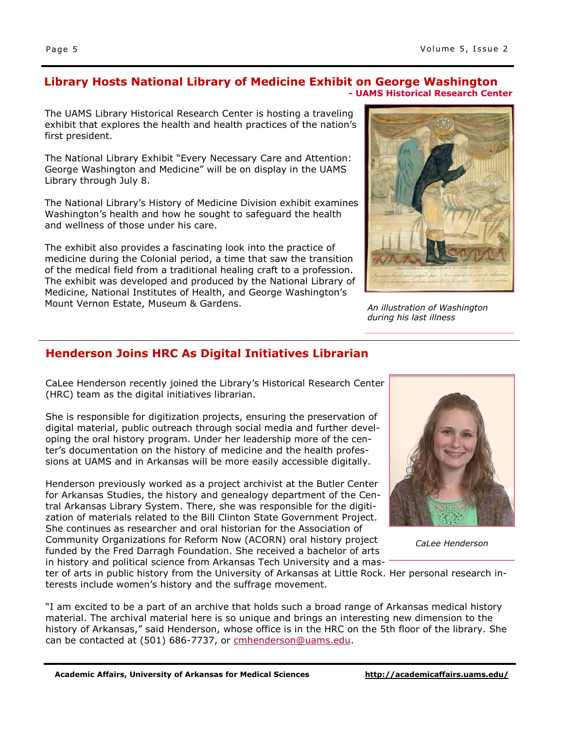#### **Library Hosts National Library of Medicine Exhibit on George Washington - UAMS Historical Research Center**

The UAMS Library Historical Research Center is hosting a traveling exhibit that explores the health and health practices of the nation's first president.

The National Library Exhibit "Every Necessary Care and Attention: George Washington and Medicine" will be on display in the UAMS Library through July 8.

The National Library's History of Medicine Division exhibit examines Washington's health and how he sought to safeguard the health and wellness of those under his care.

The exhibit also provides a fascinating look into the practice of medicine during the Colonial period, a time that saw the transition of the medical field from a traditional healing craft to a profession. The exhibit was developed and produced by the National Library of Medicine, National Institutes of Health, and George Washington's Mount Vernon Estate, Museum & Gardens.



*An illustration of Washington during his last illness* 

# **Henderson Joins HRC As Digital Initiatives Librarian**

CaLee Henderson recently joined the Library's Historical Research Center (HRC) team as the digital initiatives librarian.

She is responsible for digitization projects, ensuring the preservation of digital material, public outreach through social media and further developing the oral history program. Under her leadership more of the center's documentation on the history of medicine and the health professions at UAMS and in Arkansas will be more easily accessible digitally.

Henderson previously worked as a project archivist at the Butler Center for Arkansas Studies, the history and genealogy department of the Central Arkansas Library System. There, she was responsible for the digitization of materials related to the Bill Clinton State Government Project. She continues as researcher and oral historian for the Association of Community Organizations for Reform Now (ACORN) oral history project funded by the Fred Darragh Foundation. She received a bachelor of arts in history and political science from Arkansas Tech University and a mas-



*CaLee Henderson* 

ter of arts in public history from the University of Arkansas at Little Rock. Her personal research interests include women's history and the suffrage movement.

"I am excited to be a part of an archive that holds such a broad range of Arkansas medical history material. The archival material here is so unique and brings an interesting new dimension to the history of Arkansas," said Henderson, whose office is in the HRC on the 5th floor of the library. She can be contacted at (501) 686-7737, or [cmhenderson@uams.edu.](mailto:cmhenderson@uams.edu)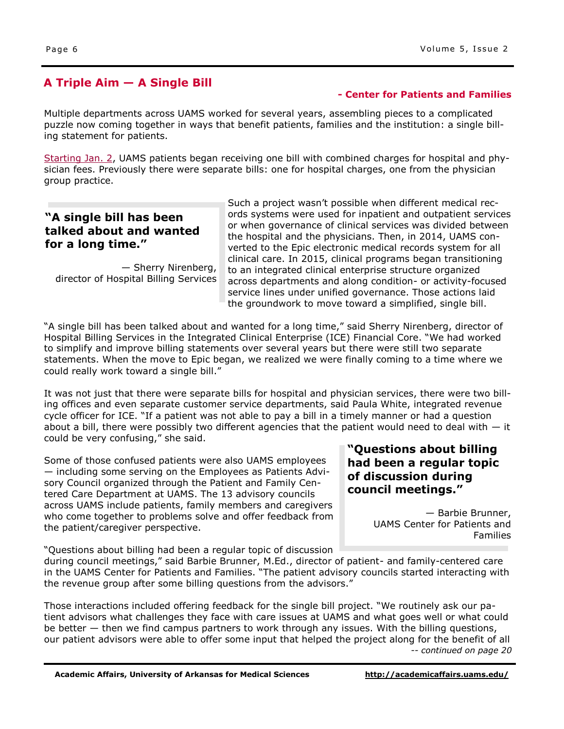# **A Triple Aim — A Single Bill**

#### **- Center for Patients and Families**

Multiple departments across UAMS worked for several years, assembling pieces to a complicated puzzle now coming together in ways that benefit patients, families and the institution: a single billing statement for patients.

[Starting Jan. 2,](http://inside.uams.edu/blog/2016/12/patients-to-receive-single-bill-for-hospital-physician-services/) UAMS patients began receiving one bill with combined charges for hospital and physician fees. Previously there were separate bills: one for hospital charges, one from the physician group practice.

### **"A single bill has been talked about and wanted for a long time."**

— Sherry Nirenberg, director of Hospital Billing Services Such a project wasn't possible when different medical records systems were used for inpatient and outpatient services or when governance of clinical services was divided between the hospital and the physicians. Then, in 2014, UAMS converted to the Epic electronic medical records system for all clinical care. In 2015, clinical programs began transitioning to an integrated clinical enterprise structure organized across departments and along condition- or activity-focused service lines under unified governance. Those actions laid the groundwork to move toward a simplified, single bill.

"A single bill has been talked about and wanted for a long time," said Sherry Nirenberg, director of Hospital Billing Services in the Integrated Clinical Enterprise (ICE) Financial Core. "We had worked to simplify and improve billing statements over several years but there were still two separate statements. When the move to Epic began, we realized we were finally coming to a time where we could really work toward a single bill."

It was not just that there were separate bills for hospital and physician services, there were two billing offices and even separate customer service departments, said Paula White, integrated revenue cycle officer for ICE. "If a patient was not able to pay a bill in a timely manner or had a question about a bill, there were possibly two different agencies that the patient would need to deal with  $-$  it could be very confusing," she said.

Some of those confused patients were also UAMS employees — including some serving on the Employees as Patients Advisory Council organized through the Patient and Family Centered Care Department at UAMS. The 13 advisory councils across UAMS include patients, family members and caregivers who come together to problems solve and offer feedback from the patient/caregiver perspective.

"Questions about billing had been a regular topic of discussion

during council meetings," said Barbie Brunner, M.Ed., director of patient- and family-centered care in the UAMS Center for Patients and Families. "The patient advisory councils started interacting with the revenue group after some billing questions from the advisors."

Those interactions included offering feedback for the single bill project. "We routinely ask our patient advisors what challenges they face with care issues at UAMS and what goes well or what could be better — then we find campus partners to work through any issues. With the billing questions, our patient advisors were able to offer some input that helped the project along for the benefit of all *-- continued on page 20* 

### **"Questions about billing had been a regular topic of discussion during council meetings."**

— Barbie Brunner, UAMS Center for Patients and Families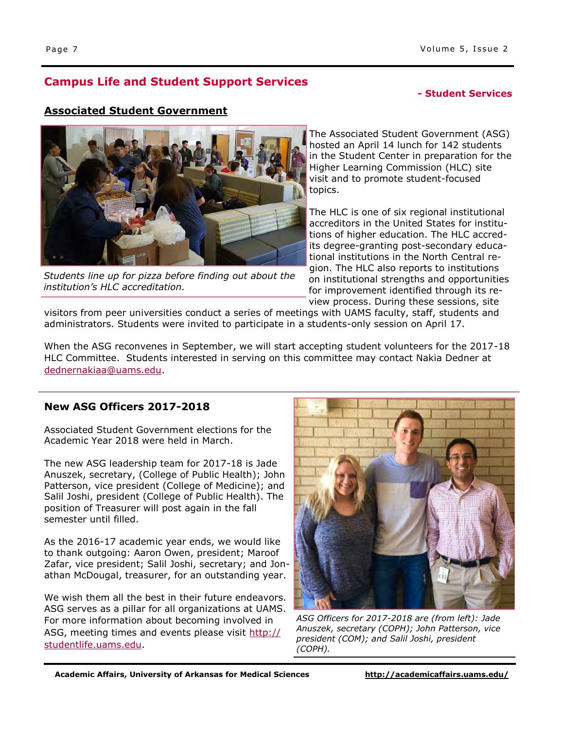# **Campus Life and Student Support Services**

#### **- Office of the Provost - Student Services**

#### **Associated Student Government**



*Students line up for pizza before finding out about the institution's HLC accreditation.*

The Associated Student Government (ASG) hosted an April 14 lunch for 142 students in the Student Center in preparation for the Higher Learning Commission (HLC) site visit and to promote student-focused topics.

The HLC is one of six regional institutional accreditors in the United States for institutions of higher education. The HLC accredits degree-granting post-secondary educational institutions in the North Central region. The HLC also reports to institutions on institutional strengths and opportunities for improvement identified through its review process. During these sessions, site

visitors from peer universities conduct a series of meetings with UAMS faculty, staff, students and administrators. Students were invited to participate in a students-only session on April 17.

When the ASG reconvenes in September, we will start accepting student volunteers for the 2017-18 HLC Committee. Students interested in serving on this committee may contact Nakia Dedner at [dednernakiaa@uams.edu.](mailto:dednernakiaa@uams.edu)

### **New ASG Officers 2017-2018**

Associated Student Government elections for the Academic Year 2018 were held in March.

The new ASG leadership team for 2017-18 is Jade Anuszek, secretary, (College of Public Health); John Patterson, vice president (College of Medicine); and Salil Joshi, president (College of Public Health). The position of Treasurer will post again in the fall semester until filled.

As the 2016-17 academic year ends, we would like to thank outgoing: Aaron Owen, president; Maroof Zafar, vice president; Salil Joshi, secretary; and Jonathan McDougal, treasurer, for an outstanding year.

We wish them all the best in their future endeavors. ASG serves as a pillar for all organizations at UAMS. For more information about becoming involved in ASG, meeting times and events please visit [http://](http://studentlife.uams.edu) [studentlife.uams.edu.](http://studentlife.uams.edu)



*ASG Officers for 2017-2018 are (from left): Jade Anuszek, secretary (COPH); John Patterson, vice president (COM); and Salil Joshi, president (COPH).*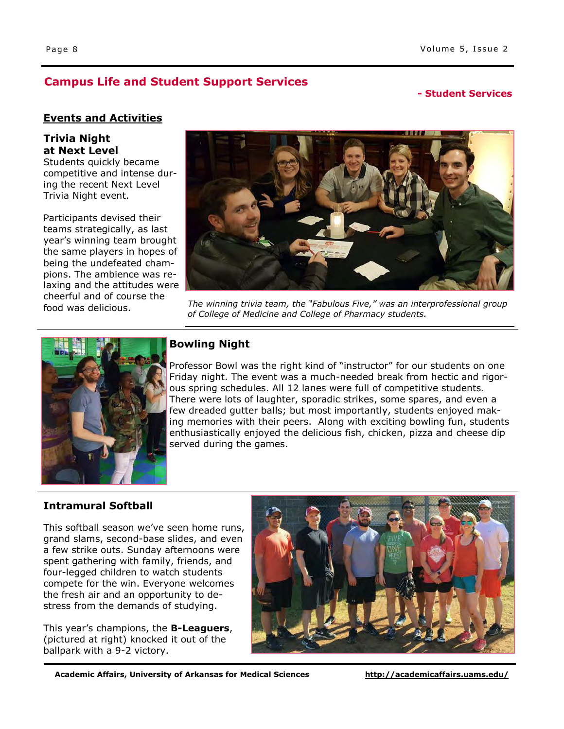# **Campus Life and Student Support Services**

### **- Office of Interprofessional Education - Student Services**

#### **Events and Activities**

#### **Trivia Night at Next Level**

Students quickly became competitive and intense during the recent Next Level Trivia Night event.

Participants devised their teams strategically, as last year's winning team brought the same players in hopes of being the undefeated champions. The ambience was relaxing and the attitudes were cheerful and of course the food was delicious.



*The winning trivia team, the "Fabulous Five," was an interprofessional group of College of Medicine and College of Pharmacy students.* 



### **Bowling Night**

Professor Bowl was the right kind of "instructor" for our students on one Friday night. The event was a much-needed break from hectic and rigorous spring schedules. All 12 lanes were full of competitive students. There were lots of laughter, sporadic strikes, some spares, and even a few dreaded gutter balls; but most importantly, students enjoyed making memories with their peers. Along with exciting bowling fun, students enthusiastically enjoyed the delicious fish, chicken, pizza and cheese dip served during the games.

#### **Intramural Softball**

This softball season we've seen home runs, grand slams, second-base slides, and even a few strike outs. Sunday afternoons were spent gathering with family, friends, and four-legged children to watch students compete for the win. Everyone welcomes the fresh air and an opportunity to destress from the demands of studying.

This year's champions, the **B-Leaguers**, (pictured at right) knocked it out of the ballpark with a 9-2 victory.



**Academic Affairs, University of Arkansas for Medical Sciences <http://academicaffairs.uams.edu/>**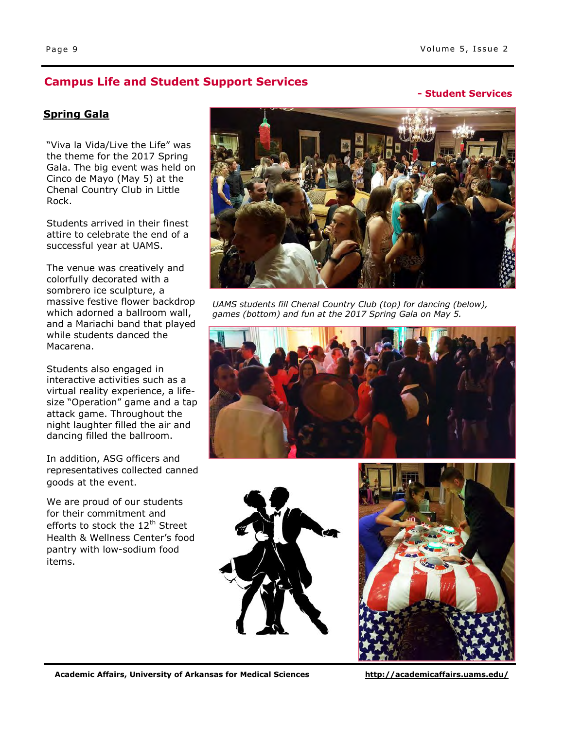# **Campus Life and Student Support Services Campus Life and Student Support Services Campus 2006**

#### **- Student Services**

#### **Spring Gala**

"Viva la Vida/Live the Life" was the theme for the 2017 Spring Gala. The big event was held on Cinco de Mayo (May 5) at the Chenal Country Club in Little Rock.

Students arrived in their finest attire to celebrate the end of a successful year at UAMS.

The venue was creatively and colorfully decorated with a sombrero ice sculpture, a massive festive flower backdrop which adorned a ballroom wall, and a Mariachi band that played while students danced the Macarena.

Students also engaged in interactive activities such as a virtual reality experience, a lifesize "Operation" game and a tap attack game. Throughout the night laughter filled the air and dancing filled the ballroom.

In addition, ASG officers and representatives collected canned goods at the event.

We are proud of our students for their commitment and efforts to stock the 12<sup>th</sup> Street Health & Wellness Center's food pantry with low-sodium food items.



*UAMS students fill Chenal Country Club (top) for dancing (below), games (bottom) and fun at the 2017 Spring Gala on May 5.* 





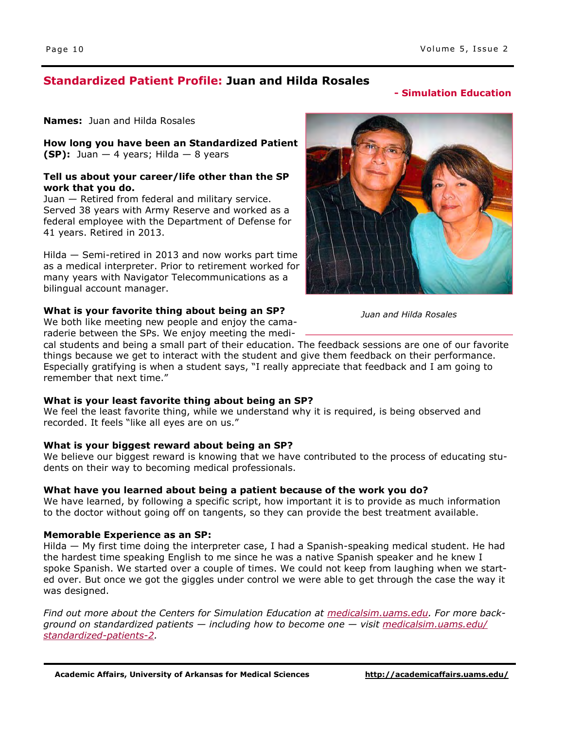# **Standardized Patient Profile: Juan and Hilda Rosales**

# **- Center for Children and Families - Simulation Education**

**Names:** Juan and Hilda Rosales

**How long you have been an Standardized Patient (SP):** Juan  $-$  4 years; Hilda  $-$  8 years

#### **Tell us about your career/life other than the SP work that you do.**

Juan — Retired from federal and military service. Served 38 years with Army Reserve and worked as a federal employee with the Department of Defense for 41 years. Retired in 2013.

Hilda — Semi-retired in 2013 and now works part time as a medical interpreter. Prior to retirement worked for many years with Navigator Telecommunications as a bilingual account manager.

#### **What is your favorite thing about being an SP?**

We both like meeting new people and enjoy the camaraderie between the SPs. We enjoy meeting the medi-

cal students and being a small part of their education. The feedback sessions are one of our favorite things because we get to interact with the student and give them feedback on their performance. Especially gratifying is when a student says, "I really appreciate that feedback and I am going to remember that next time."

#### **What is your least favorite thing about being an SP?**

We feel the least favorite thing, while we understand why it is required, is being observed and recorded. It feels "like all eyes are on us."

#### **What is your biggest reward about being an SP?**

We believe our biggest reward is knowing that we have contributed to the process of educating students on their way to becoming medical professionals.

#### **What have you learned about being a patient because of the work you do?**

We have learned, by following a specific script, how important it is to provide as much information to the doctor without going off on tangents, so they can provide the best treatment available.

#### **Memorable Experience as an SP:**

Hilda — My first time doing the interpreter case, I had a Spanish-speaking medical student. He had the hardest time speaking English to me since he was a native Spanish speaker and he knew I spoke Spanish. We started over a couple of times. We could not keep from laughing when we started over. But once we got the giggles under control we were able to get through the case the way it was designed.

*Find out more about the Centers for Simulation Education at [medicalsim.uams.edu.](http://medicalsim.uams.edu/) For more background on standardized patients — including how to become one — visit [medicalsim.uams.edu/](http://medicalsim.uams.edu/standardized-patients-2/) [standardized-patients-2.](http://medicalsim.uams.edu/standardized-patients-2/)* 



*Juan and Hilda Rosales*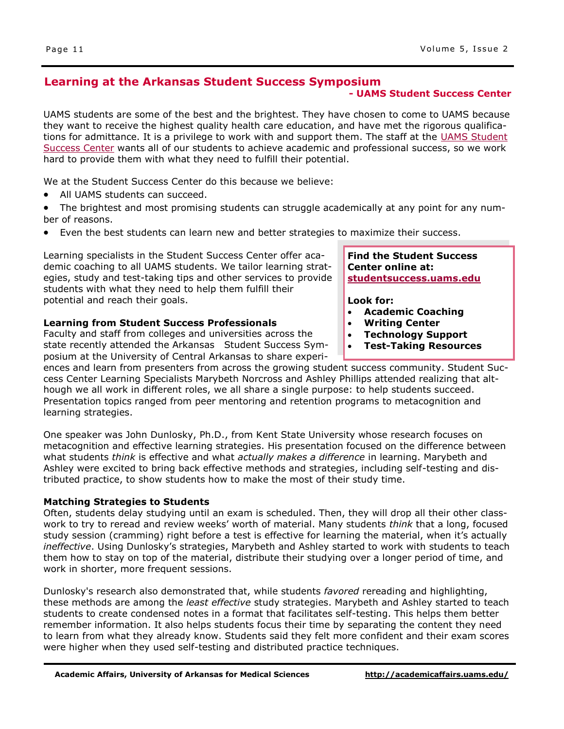#### **Learning at the Arkansas Student Success Symposium**

#### **- UAMS Student Success Center**

UAMS students are some of the best and the brightest. They have chosen to come to UAMS because they want to receive the highest quality health care education, and have met the rigorous qualifications for admittance. It is a privilege to work with and support them. The staff at the UAMS Student [Success Center](http://studentsuccess.uams.edu/) wants all of our students to achieve academic and professional success, so we work hard to provide them with what they need to fulfill their potential.

We at the Student Success Center do this because we believe:

- All UAMS students can succeed.
- The brightest and most promising students can struggle academically at any point for any number of reasons.
- Even the best students can learn new and better strategies to maximize their success.

Learning specialists in the Student Success Center offer academic coaching to all UAMS students. We tailor learning strategies, study and test-taking tips and other services to provide students with what they need to help them fulfill their potential and reach their goals.

#### **Learning from Student Success Professionals**

Faculty and staff from colleges and universities across the state recently attended the Arkansas Student Success Symposium at the University of Central Arkansas to share experi-

ences and learn from presenters from across the growing student success community. Student Success Center Learning Specialists Marybeth Norcross and Ashley Phillips attended realizing that although we all work in different roles, we all share a single purpose: to help students succeed. Presentation topics ranged from peer mentoring and retention programs to metacognition and learning strategies.

One speaker was John Dunlosky, Ph.D., from Kent State University whose research focuses on metacognition and effective learning strategies. His presentation focused on the difference between what students *think* is effective and what *actually makes a difference* in learning. Marybeth and Ashley were excited to bring back effective methods and strategies, including self-testing and distributed practice, to show students how to make the most of their study time.

#### **Matching Strategies to Students**

Often, students delay studying until an exam is scheduled. Then, they will drop all their other classwork to try to reread and review weeks' worth of material. Many students *think* that a long, focused study session (cramming) right before a test is effective for learning the material, when it's actually *ineffective*. Using Dunlosky's strategies, Marybeth and Ashley started to work with students to teach them how to stay on top of the material, distribute their studying over a longer period of time, and work in shorter, more frequent sessions.

Dunlosky's research also demonstrated that, while students *favored* rereading and highlighting, these methods are among the *least effective* study strategies. Marybeth and Ashley started to teach students to create condensed notes in a format that facilitates self-testing. This helps them better remember information. It also helps students focus their time by separating the content they need to learn from what they already know. Students said they felt more confident and their exam scores were higher when they used self-testing and distributed practice techniques.

**Find the Student Success Center online at: [studentsuccess.uams.edu](http://studentsuccess.uams.edu/)**

**Look for:** 

- **Academic Coaching**
- **Writing Center**
- **Technology Support**
- **Test-Taking Resources**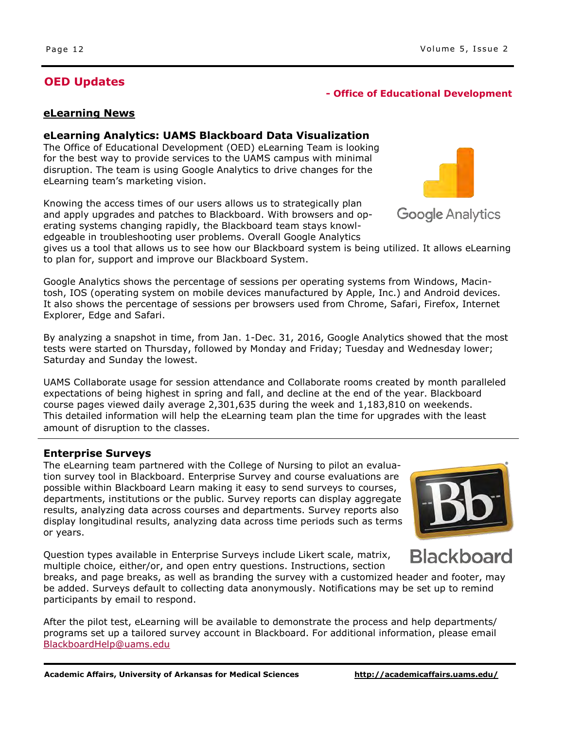# **OED Updates**

# **- Office of Educational Development**

#### **eLearning News**

#### **eLearning Analytics: UAMS Blackboard Data Visualization**

The Office of Educational Development (OED) eLearning Team is looking for the best way to provide services to the UAMS campus with minimal disruption. The team is using Google Analytics to drive changes for the eLearning team's marketing vision.

Knowing the access times of our users allows us to strategically plan and apply upgrades and patches to Blackboard. With browsers and operating systems changing rapidly, the Blackboard team stays knowledgeable in troubleshooting user problems. Overall Google Analytics

gives us a tool that allows us to see how our Blackboard system is being utilized. It allows eLearning to plan for, support and improve our Blackboard System.

Google Analytics shows the percentage of sessions per operating systems from Windows, Macintosh, IOS (operating system on mobile devices manufactured by Apple, Inc.) and Android devices. It also shows the percentage of sessions per browsers used from Chrome, Safari, Firefox, Internet Explorer, Edge and Safari.

By analyzing a snapshot in time, from Jan. 1-Dec. 31, 2016, Google Analytics showed that the most tests were started on Thursday, followed by Monday and Friday; Tuesday and Wednesday lower; Saturday and Sunday the lowest.

UAMS Collaborate usage for session attendance and Collaborate rooms created by month paralleled expectations of being highest in spring and fall, and decline at the end of the year. Blackboard course pages viewed daily average 2,301,635 during the week and 1,183,810 on weekends. This detailed information will help the eLearning team plan the time for upgrades with the least amount of disruption to the classes.

#### **Enterprise Surveys**

The eLearning team partnered with the College of Nursing to pilot an evaluation survey tool in Blackboard. Enterprise Survey and course evaluations are possible within Blackboard Learn making it easy to send surveys to courses, departments, institutions or the public. Survey reports can display aggregate results, analyzing data across courses and departments. Survey reports also display longitudinal results, analyzing data across time periods such as terms or years.

Question types available in Enterprise Surveys include Likert scale, matrix, multiple choice, either/or, and open entry questions. Instructions, section

breaks, and page breaks, as well as branding the survey with a customized header and footer, may be added. Surveys default to collecting data anonymously. Notifications may be set up to remind participants by email to respond.

After the pilot test, eLearning will be available to demonstrate the process and help departments/ programs set up a tailored survey account in Blackboard. For additional information, please email [BlackboardHelp@uams.edu](mailto:BlackboardHelp@uams.edu) 

#### Page 12 **Volume 5, Issue 2**

**Google Analytics** 



**Blackboard** 

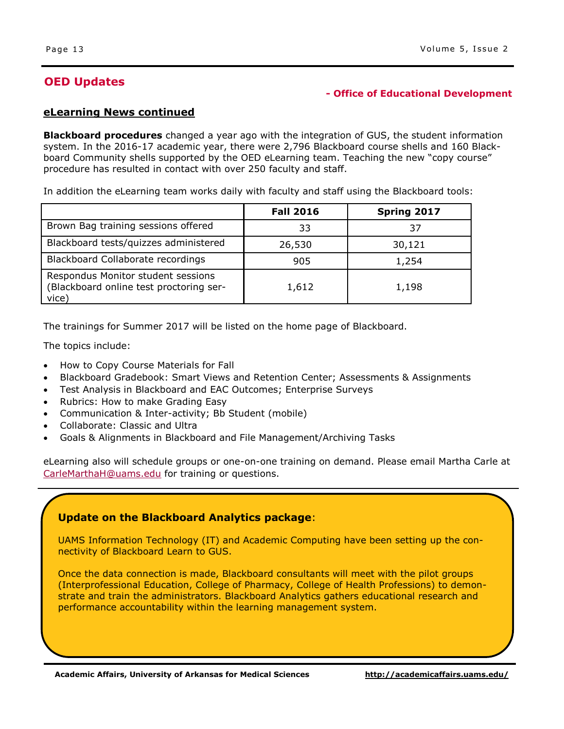# **OED Updates**

#### **- Office of Educational Development**

#### **eLearning News continued**

**Blackboard procedures** changed a year ago with the integration of GUS, the student information system. In the 2016-17 academic year, there were 2,796 Blackboard course shells and 160 Blackboard Community shells supported by the OED eLearning team. Teaching the new "copy course" procedure has resulted in contact with over 250 faculty and staff.

In addition the eLearning team works daily with faculty and staff using the Blackboard tools:

|                                                                                        | <b>Fall 2016</b> | Spring 2017 |
|----------------------------------------------------------------------------------------|------------------|-------------|
| Brown Bag training sessions offered                                                    | 33               | 37          |
| Blackboard tests/quizzes administered                                                  | 26,530           | 30,121      |
| Blackboard Collaborate recordings                                                      | 905              | 1,254       |
| Respondus Monitor student sessions<br>(Blackboard online test proctoring ser-<br>vice) | 1,612            | 1,198       |

The trainings for Summer 2017 will be listed on the home page of Blackboard.

The topics include:

- How to Copy Course Materials for Fall
- Blackboard Gradebook: Smart Views and Retention Center; Assessments & Assignments
- Test Analysis in Blackboard and EAC Outcomes; Enterprise Surveys
- Rubrics: How to make Grading Easy
- Communication & Inter-activity; Bb Student (mobile)
- Collaborate: Classic and Ultra
- Goals & Alignments in Blackboard and File Management/Archiving Tasks

eLearning also will schedule groups or one-on-one training on demand. Please email Martha Carle at [CarleMarthaH@uams.edu f](mailto:CarleMarthaH@uams.edu)or training or questions.

#### **Update on the Blackboard Analytics package**:

UAMS Information Technology (IT) and Academic Computing have been setting up the connectivity of Blackboard Learn to GUS.

Once the data connection is made, Blackboard consultants will meet with the pilot groups (Interprofessional Education, College of Pharmacy, College of Health Professions) to demonstrate and train the administrators. Blackboard Analytics gathers educational research and performance accountability within the learning management system.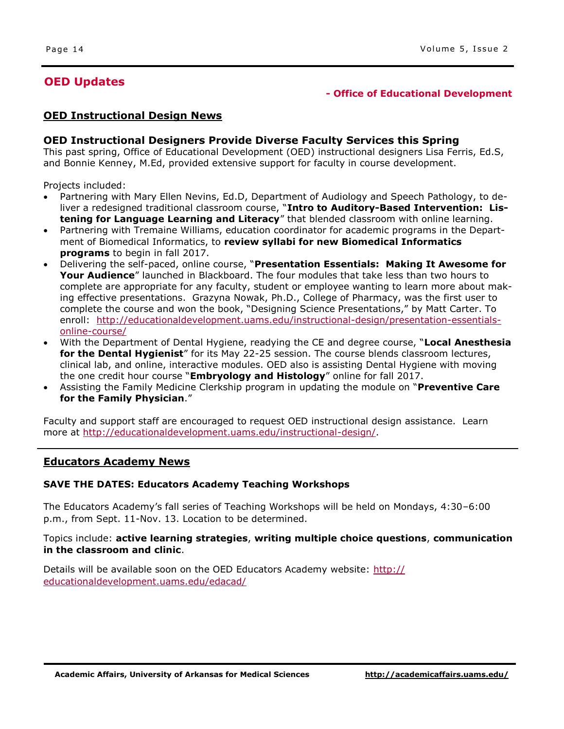# **Means Joins Student Services as Title IX/ADA Coordinator - Division of Student Services OED Updates**

#### **- Office of Educational Development**

#### **OED Instructional Design News**

#### **OED Instructional Designers Provide Diverse Faculty Services this Spring**

This past spring, Office of Educational Development (OED) instructional designers Lisa Ferris, Ed.S, and Bonnie Kenney, M.Ed, provided extensive support for faculty in course development.

Projects included:

- Partnering with Mary Ellen Nevins, Ed.D, Department of Audiology and Speech Pathology, to deliver a redesigned traditional classroom course, "**Intro to Auditory-Based Intervention: Listening for Language Learning and Literacy**" that blended classroom with online learning.
- Partnering with Tremaine Williams, education coordinator for academic programs in the Department of Biomedical Informatics, to **review syllabi for new Biomedical Informatics programs** to begin in fall 2017.
- Delivering the self-paced, online course, "**Presentation Essentials: Making It Awesome for Your Audience**" launched in Blackboard. The four modules that take less than two hours to complete are appropriate for any faculty, student or employee wanting to learn more about making effective presentations. Grazyna Nowak, Ph.D., College of Pharmacy, was the first user to complete the course and won the book, "Designing Science Presentations," by Matt Carter. To enroll: [http://educationaldevelopment.uams.edu/instructional-design/presentation-essentials](http://educationaldevelopment.uams.edu/instructional-design/presentation-essentials-online-course/)[online-course/](http://educationaldevelopment.uams.edu/instructional-design/presentation-essentials-online-course/)
- With the Department of Dental Hygiene, readying the CE and degree course, "**Local Anesthesia**  for the Dental Hygienist" for its May 22-25 session. The course blends classroom lectures, clinical lab, and online, interactive modules. OED also is assisting Dental Hygiene with moving the one credit hour course "**Embryology and Histology**" online for fall 2017.
- Assisting the Family Medicine Clerkship program in updating the module on "**Preventive Care for the Family Physician**."

Faculty and support staff are encouraged to request OED instructional design assistance. Learn more at [http://educationaldevelopment.uams.edu/instructional-design/.](http://educationaldevelopment.uams.edu/instructional-design/) 

#### **Educators Academy News**

#### **SAVE THE DATES: Educators Academy Teaching Workshops**

The Educators Academy's fall series of Teaching Workshops will be held on Mondays, 4:30–6:00 p.m., from Sept. 11-Nov. 13. Location to be determined.

Topics include: **active learning strategies**, **writing multiple choice questions**, **communication in the classroom and clinic**.

Details will be available soon on the OED Educators Academy website: [http://](http://educationaldevelopment.uams.edu/edacad/) [educationaldevelopment.uams.edu/edacad/](http://educationaldevelopment.uams.edu/edacad/)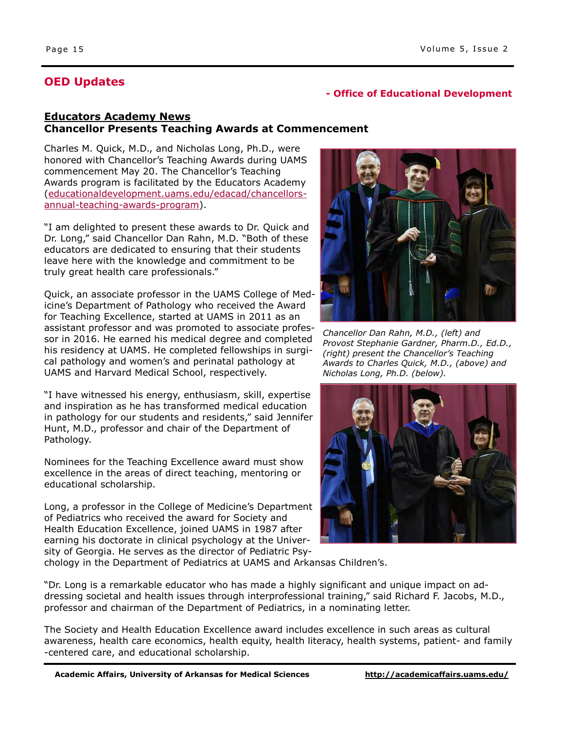# **Means Joins Student Services as Title IX/ADA Coordinator - Division of Student Services OED Updates**

#### **- Office of Educational Development**

#### **Educators Academy News Chancellor Presents Teaching Awards at Commencement**

Charles M. Quick, M.D., and Nicholas Long, Ph.D., were honored with Chancellor's Teaching Awards during UAMS commencement May 20. The Chancellor's Teaching Awards program is facilitated by the Educators Academy ([educationaldevelopment.uams.edu/edacad/chancellors](http://educationaldevelopment.uams.edu/edacad/chancellors-annual-teaching-awards-program/)[annual-teaching-awards-program\).](http://educationaldevelopment.uams.edu/edacad/chancellors-annual-teaching-awards-program/)

"I am delighted to present these awards to Dr. Quick and Dr. Long," said Chancellor Dan Rahn, M.D. "Both of these educators are dedicated to ensuring that their students leave here with the knowledge and commitment to be truly great health care professionals."

Quick, an associate professor in the UAMS College of Medicine's Department of Pathology who received the Award for Teaching Excellence, started at UAMS in 2011 as an assistant professor and was promoted to associate professor in 2016. He earned his medical degree and completed his residency at UAMS. He completed fellowships in surgical pathology and women's and perinatal pathology at UAMS and Harvard Medical School, respectively.

"I have witnessed his energy, enthusiasm, skill, expertise and inspiration as he has transformed medical education in pathology for our students and residents," said Jennifer Hunt, M.D., professor and chair of the Department of Pathology.

Nominees for the Teaching Excellence award must show excellence in the areas of direct teaching, mentoring or educational scholarship.

Long, a professor in the College of Medicine's Department of Pediatrics who received the award for Society and Health Education Excellence, joined UAMS in 1987 after earning his doctorate in clinical psychology at the University of Georgia. He serves as the director of Pediatric Psy-



*Chancellor Dan Rahn, M.D., (left) and Provost Stephanie Gardner, Pharm.D., Ed.D., (right) present the Chancellor's Teaching Awards to Charles Quick, M.D., (above) and Nicholas Long, Ph.D. (below).* 



chology in the Department of Pediatrics at UAMS and Arkansas Children's.

"Dr. Long is a remarkable educator who has made a highly significant and unique impact on addressing societal and health issues through interprofessional training," said Richard F. Jacobs, M.D., professor and chairman of the Department of Pediatrics, in a nominating letter.

The Society and Health Education Excellence award includes excellence in such areas as cultural awareness, health care economics, health equity, health literacy, health systems, patient- and family -centered care, and educational scholarship.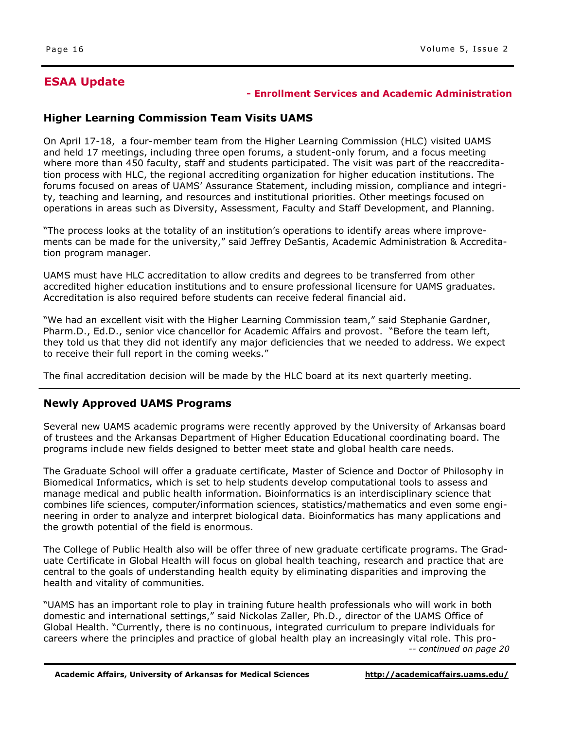# **ESAA Update**

#### **- Enrollment Services and Academic Administration**

#### **Higher Learning Commission Team Visits UAMS**

On April 17-18, a four-member team from the Higher Learning Commission (HLC) visited UAMS and held 17 meetings, including three open forums, a student-only forum, and a focus meeting where more than 450 faculty, staff and students participated. The visit was part of the reaccreditation process with HLC, the regional accrediting organization for higher education institutions. The forums focused on areas of UAMS' Assurance Statement, including mission, compliance and integrity, teaching and learning, and resources and institutional priorities. Other meetings focused on operations in areas such as Diversity, Assessment, Faculty and Staff Development, and Planning.

"The process looks at the totality of an institution's operations to identify areas where improvements can be made for the university," said Jeffrey DeSantis, Academic Administration & Accreditation program manager.

UAMS must have HLC accreditation to allow credits and degrees to be transferred from other accredited higher education institutions and to ensure professional licensure for UAMS graduates. Accreditation is also required before students can receive federal financial aid.

"We had an excellent visit with the Higher Learning Commission team," said Stephanie Gardner, Pharm.D., Ed.D., senior vice chancellor for Academic Affairs and provost. "Before the team left, they told us that they did not identify any major deficiencies that we needed to address. We expect to receive their full report in the coming weeks."

The final accreditation decision will be made by the HLC board at its next quarterly meeting.

#### **Newly Approved UAMS Programs**

Several new UAMS academic programs were recently approved by the University of Arkansas board of trustees and the Arkansas Department of Higher Education Educational coordinating board. The programs include new fields designed to better meet state and global health care needs.

The Graduate School will offer a graduate certificate, Master of Science and Doctor of Philosophy in Biomedical Informatics, which is set to help students develop computational tools to assess and manage medical and public health information. Bioinformatics is an interdisciplinary science that combines life sciences, computer/information sciences, statistics/mathematics and even some engineering in order to analyze and interpret biological data. Bioinformatics has many applications and the growth potential of the field is enormous.

The College of Public Health also will be offer three of new graduate certificate programs. The Graduate Certificate in Global Health will focus on global health teaching, research and practice that are central to the goals of understanding health equity by eliminating disparities and improving the health and vitality of communities.

"UAMS has an important role to play in training future health professionals who will work in both domestic and international settings," said Nickolas Zaller, Ph.D., director of the UAMS Office of Global Health. "Currently, there is no continuous, integrated curriculum to prepare individuals for careers where the principles and practice of global health play an increasingly vital role. This pro- *-- continued on page 20*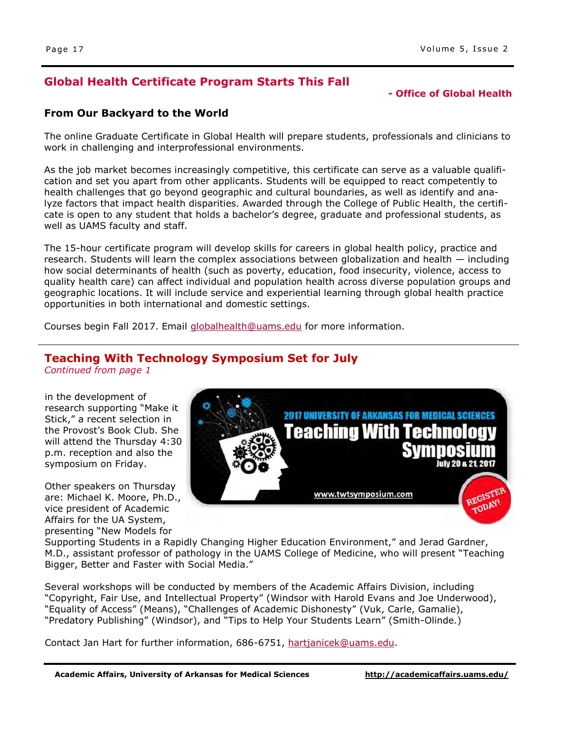# **Global Health Certificate Program Starts This Fall**

#### **- Office of Global Health**

#### **From Our Backyard to the World**

The online Graduate Certificate in Global Health will prepare students, professionals and clinicians to work in challenging and interprofessional environments.

As the job market becomes increasingly competitive, this certificate can serve as a valuable qualification and set you apart from other applicants. Students will be equipped to react competently to health challenges that go beyond geographic and cultural boundaries, as well as identify and analyze factors that impact health disparities. Awarded through the College of Public Health, the certificate is open to any student that holds a bachelor's degree, graduate and professional students, as well as UAMS faculty and staff.

The 15-hour certificate program will develop skills for careers in global health policy, practice and research. Students will learn the complex associations between globalization and health — including how social determinants of health (such as poverty, education, food insecurity, violence, access to quality health care) can affect individual and population health across diverse population groups and geographic locations. It will include service and experiential learning through global health practice opportunities in both international and domestic settings.

Courses begin Fall 2017. Email [globalhealth@uams.edu](mailto:globalhealth@uams.edu) for more information.

# **Teaching With Technology Symposium Set for July**

*Continued from page 1* 

in the development of research supporting "Make it Stick," a recent selection in the Provost's Book Club. She will attend the Thursday 4:30 p.m. reception and also the symposium on Friday.

Other speakers on Thursday are: Michael K. Moore, Ph.D., vice president of Academic Affairs for the UA System, presenting "New Models for



Supporting Students in a Rapidly Changing Higher Education Environment," and Jerad Gardner, M.D., assistant professor of pathology in the UAMS College of Medicine, who will present "Teaching Bigger, Better and Faster with Social Media."

Several workshops will be conducted by members of the Academic Affairs Division, including "Copyright, Fair Use, and Intellectual Property" (Windsor with Harold Evans and Joe Underwood), "Equality of Access" (Means), "Challenges of Academic Dishonesty" (Vuk, Carle, Gamalie), "Predatory Publishing" (Windsor), and "Tips to Help Your Students Learn" (Smith-Olinde.)

Contact Jan Hart for further information, 686-6751, [hartjanicek@uams.edu.](mailto:hartjanicek@uams.edu)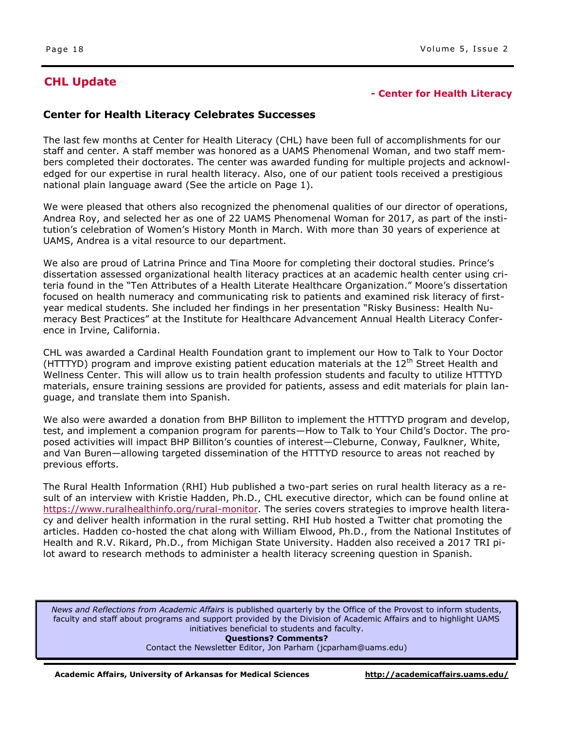#### **- Center for Health Literacy**

#### **Center for Health Literacy Celebrates Successes**

The last few months at Center for Health Literacy (CHL) have been full of accomplishments for our staff and center. A staff member was honored as a UAMS Phenomenal Woman, and two staff members completed their doctorates. The center was awarded funding for multiple projects and acknowledged for our expertise in rural health literacy. Also, one of our patient tools received a prestigious national plain language award (See the article on Page 1).

We were pleased that others also recognized the phenomenal qualities of our director of operations, Andrea Roy, and selected her as one of 22 UAMS Phenomenal Woman for 2017, as part of the institution's celebration of Women's History Month in March. With more than 30 years of experience at UAMS, Andrea is a vital resource to our department.

We also are proud of Latrina Prince and Tina Moore for completing their doctoral studies. Prince's dissertation assessed organizational health literacy practices at an academic health center using criteria found in the "Ten Attributes of a Health Literate Healthcare Organization." Moore's dissertation focused on health numeracy and communicating risk to patients and examined risk literacy of firstyear medical students. She included her findings in her presentation "Risky Business: Health Numeracy Best Practices" at the Institute for Healthcare Advancement Annual Health Literacy Conference in Irvine, California.

CHL was awarded a Cardinal Health Foundation grant to implement our How to Talk to Your Doctor (HTTTYD) program and improve existing patient education materials at the  $12<sup>th</sup>$  Street Health and Wellness Center. This will allow us to train health profession students and faculty to utilize HTTTYD materials, ensure training sessions are provided for patients, assess and edit materials for plain language, and translate them into Spanish.

We also were awarded a donation from BHP Billiton to implement the HTTTYD program and develop, test, and implement a companion program for parents—How to Talk to Your Child's Doctor. The proposed activities will impact BHP Billiton's counties of interest—Cleburne, Conway, Faulkner, White, and Van Buren—allowing targeted dissemination of the HTTTYD resource to areas not reached by previous efforts.

The Rural Health Information (RHI) Hub published a two-part series on rural health literacy as a result of an interview with Kristie Hadden, Ph.D., CHL executive director, which can be found online at [https://www.ruralhealthinfo.org/rural-monitor.](https://www.ruralhealthinfo.org/rural-monitor/) The series covers strategies to improve health literacy and deliver health information in the rural setting. RHI Hub hosted a Twitter chat promoting the articles. Hadden co-hosted the chat along with William Elwood, Ph.D., from the National Institutes of Health and R.V. Rikard, Ph.D., from Michigan State University. Hadden also received a 2017 TRI pilot award to research methods to administer a health literacy screening question in Spanish.

*News and Reflections from Academic Affairs* is published quarterly by the Office of the Provost to inform students, faculty and staff about programs and support provided by the Division of Academic Affairs and to highlight UAMS initiatives beneficial to students and faculty. **Questions? Comments?** 

Contact the Newsletter Editor, Jon Parham ([jcparham@uams.edu\)](mailto:jdelavan@uams.edu)

**Academic Affairs, University of Arkansas for Medical Sciences <http://academicaffairs.uams.edu/>**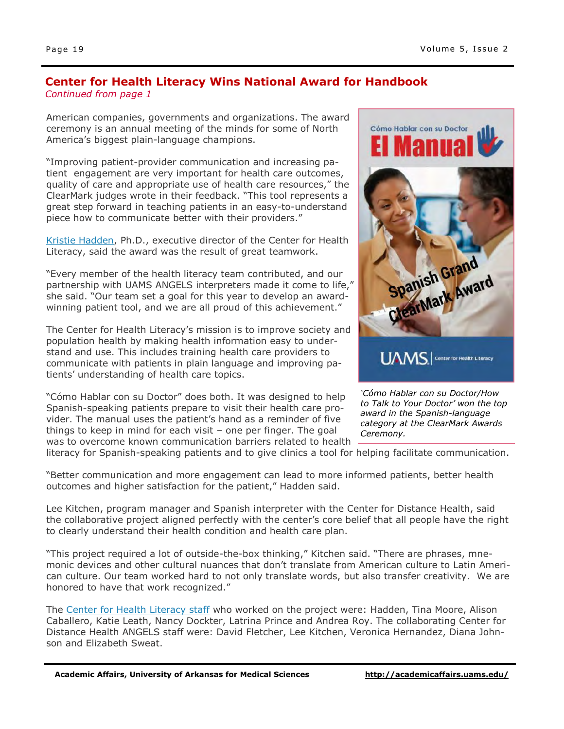#### **Center for Health Literacy Wins National Award for Handbook**  *Continued from page 1*

American companies, governments and organizations. The award ceremony is an annual meeting of the minds for some of North America's biggest plain-language champions.

"Improving patient-provider communication and increasing patient engagement are very important for health care outcomes, quality of care and appropriate use of health care resources," the ClearMark judges wrote in their feedback. "This tool represents a great step forward in teaching patients in an easy-to-understand piece how to communicate better with their providers."

[Kristie Hadden,](http://healthliteracy.uams.edu/about-us/our-staff/) Ph.D., executive director of the Center for Health Literacy, said the award was the result of great teamwork.

"Every member of the health literacy team contributed, and our partnership with UAMS ANGELS interpreters made it come to life," she said. "Our team set a goal for this year to develop an awardwinning patient tool, and we are all proud of this achievement."

The Center for Health Literacy's mission is to improve society and population health by making health information easy to understand and use. This includes training health care providers to communicate with patients in plain language and improving patients' understanding of health care topics.

"Cómo Hablar con su Doctor" does both. It was designed to help Spanish-speaking patients prepare to visit their health care provider. The manual uses the patient's hand as a reminder of five things to keep in mind for each visit – one per finger. The goal was to overcome known communication barriers related to health



*'Cómo Hablar con su Doctor/How to Talk to Your Doctor' won the top award in the Spanish-language category at the ClearMark Awards Ceremony.* 

literacy for Spanish-speaking patients and to give clinics a tool for helping facilitate communication.

"Better communication and more engagement can lead to more informed patients, better health outcomes and higher satisfaction for the patient," Hadden said.

Lee Kitchen, program manager and Spanish interpreter with the Center for Distance Health, said the collaborative project aligned perfectly with the center's core belief that all people have the right to clearly understand their health condition and health care plan.

"This project required a lot of outside-the-box thinking," Kitchen said. "There are phrases, mnemonic devices and other cultural nuances that don't translate from American culture to Latin American culture. Our team worked hard to not only translate words, but also transfer creativity. We are honored to have that work recognized."

The [Center for Health Literacy staff](http://healthliteracy.uams.edu/about-us/our-staff/) who worked on the project were: Hadden, Tina Moore, Alison Caballero, Katie Leath, Nancy Dockter, Latrina Prince and Andrea Roy. The collaborating Center for Distance Health ANGELS staff were: David Fletcher, Lee Kitchen, Veronica Hernandez, Diana Johnson and Elizabeth Sweat.